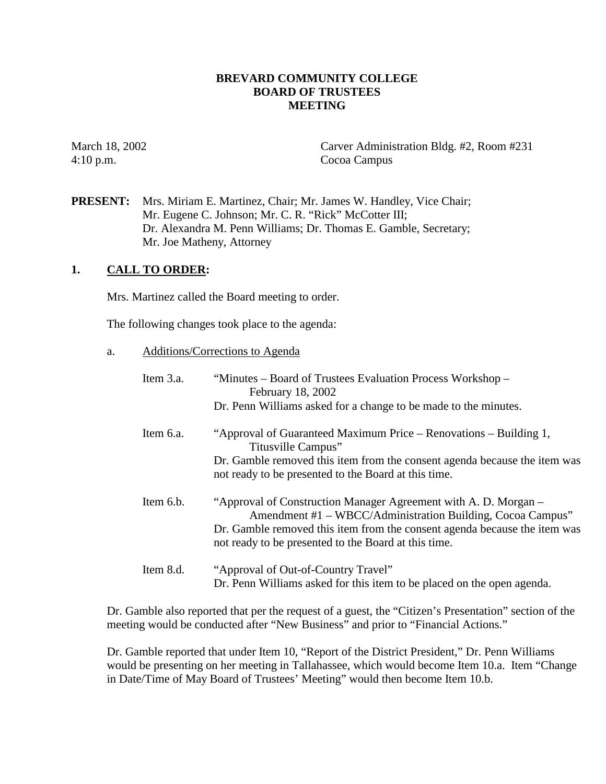## **BREVARD COMMUNITY COLLEGE BOARD OF TRUSTEES MEETING**

4:10 p.m. Cocoa Campus

March 18, 2002 Carver Administration Bldg. #2, Room #231

**PRESENT:** Mrs. Miriam E. Martinez, Chair; Mr. James W. Handley, Vice Chair; Mr. Eugene C. Johnson; Mr. C. R. "Rick" McCotter III; Dr. Alexandra M. Penn Williams; Dr. Thomas E. Gamble, Secretary; Mr. Joe Matheny, Attorney

## **1. CALL TO ORDER:**

Mrs. Martinez called the Board meeting to order.

The following changes took place to the agenda:

a. Additions/Corrections to Agenda

| Item 3.a. | "Minutes – Board of Trustees Evaluation Process Workshop –<br>February 18, 2002<br>Dr. Penn Williams asked for a change to be made to the minutes.                                                                                                                 |
|-----------|--------------------------------------------------------------------------------------------------------------------------------------------------------------------------------------------------------------------------------------------------------------------|
| Item 6.a. | "Approval of Guaranteed Maximum Price – Renovations – Building 1,<br>Titusville Campus"<br>Dr. Gamble removed this item from the consent agenda because the item was                                                                                               |
|           | not ready to be presented to the Board at this time.                                                                                                                                                                                                               |
| Item 6.b. | "Approval of Construction Manager Agreement with A. D. Morgan –<br>Amendment #1 – WBCC/Administration Building, Cocoa Campus"<br>Dr. Gamble removed this item from the consent agenda because the item was<br>not ready to be presented to the Board at this time. |
| Item 8.d. | "Approval of Out-of-Country Travel"<br>Dr. Penn Williams asked for this item to be placed on the open agenda.                                                                                                                                                      |

Dr. Gamble also reported that per the request of a guest, the "Citizen's Presentation" section of the meeting would be conducted after "New Business" and prior to "Financial Actions."

Dr. Gamble reported that under Item 10, "Report of the District President," Dr. Penn Williams would be presenting on her meeting in Tallahassee, which would become Item 10.a. Item "Change in Date/Time of May Board of Trustees' Meeting" would then become Item 10.b.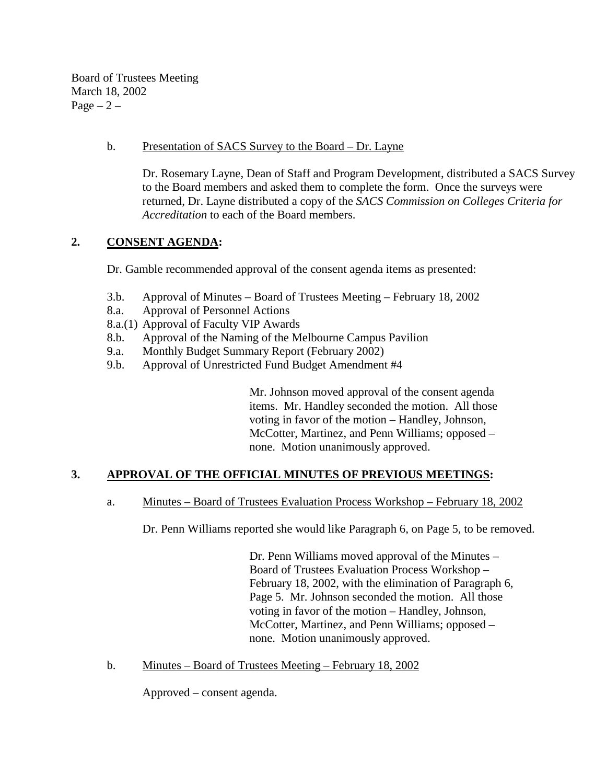Board of Trustees Meeting March 18, 2002  $Page - 2 -$ 

### b. Presentation of SACS Survey to the Board – Dr. Layne

Dr. Rosemary Layne, Dean of Staff and Program Development, distributed a SACS Survey to the Board members and asked them to complete the form. Once the surveys were returned, Dr. Layne distributed a copy of the *SACS Commission on Colleges Criteria for Accreditation* to each of the Board members.

# **2. CONSENT AGENDA:**

Dr. Gamble recommended approval of the consent agenda items as presented:

- 3.b. Approval of Minutes Board of Trustees Meeting February 18, 2002
- 8.a. Approval of Personnel Actions
- 8.a.(1) Approval of Faculty VIP Awards
- 8.b. Approval of the Naming of the Melbourne Campus Pavilion
- 9.a. Monthly Budget Summary Report (February 2002)
- 9.b. Approval of Unrestricted Fund Budget Amendment #4

Mr. Johnson moved approval of the consent agenda items. Mr. Handley seconded the motion. All those voting in favor of the motion – Handley, Johnson, McCotter, Martinez, and Penn Williams; opposed – none. Motion unanimously approved.

# **3. APPROVAL OF THE OFFICIAL MINUTES OF PREVIOUS MEETINGS:**

#### a. Minutes – Board of Trustees Evaluation Process Workshop – February 18, 2002

Dr. Penn Williams reported she would like Paragraph 6, on Page 5, to be removed.

Dr. Penn Williams moved approval of the Minutes – Board of Trustees Evaluation Process Workshop – February 18, 2002, with the elimination of Paragraph 6, Page 5. Mr. Johnson seconded the motion. All those voting in favor of the motion – Handley, Johnson, McCotter, Martinez, and Penn Williams; opposed – none. Motion unanimously approved.

b. Minutes – Board of Trustees Meeting – February 18, 2002

Approved – consent agenda.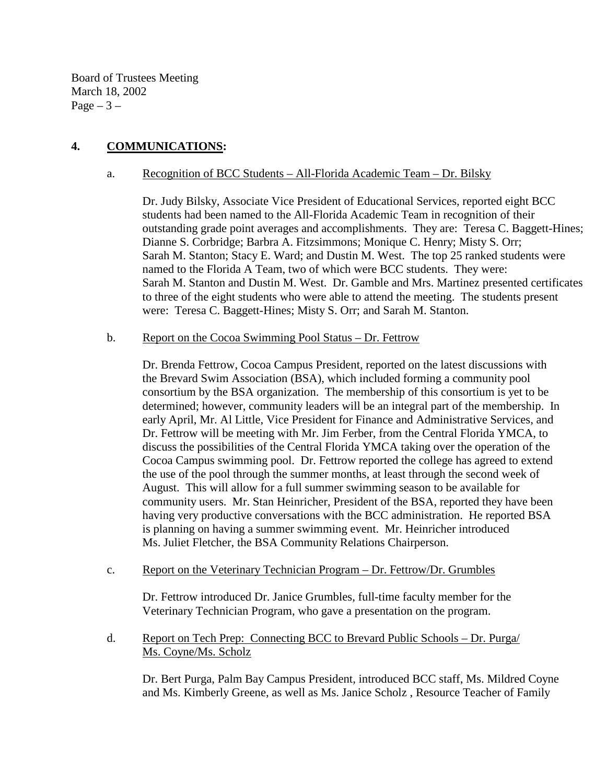Board of Trustees Meeting March 18, 2002 Page  $-3-$ 

# **4. COMMUNICATIONS:**

### a. Recognition of BCC Students – All-Florida Academic Team – Dr. Bilsky

Dr. Judy Bilsky, Associate Vice President of Educational Services, reported eight BCC students had been named to the All-Florida Academic Team in recognition of their outstanding grade point averages and accomplishments. They are: Teresa C. Baggett-Hines; Dianne S. Corbridge; Barbra A. Fitzsimmons; Monique C. Henry; Misty S. Orr; Sarah M. Stanton; Stacy E. Ward; and Dustin M. West. The top 25 ranked students were named to the Florida A Team, two of which were BCC students. They were: Sarah M. Stanton and Dustin M. West. Dr. Gamble and Mrs. Martinez presented certificates to three of the eight students who were able to attend the meeting. The students present were: Teresa C. Baggett-Hines; Misty S. Orr; and Sarah M. Stanton.

#### b. Report on the Cocoa Swimming Pool Status – Dr. Fettrow

Dr. Brenda Fettrow, Cocoa Campus President, reported on the latest discussions with the Brevard Swim Association (BSA), which included forming a community pool consortium by the BSA organization. The membership of this consortium is yet to be determined; however, community leaders will be an integral part of the membership. In early April, Mr. Al Little, Vice President for Finance and Administrative Services, and Dr. Fettrow will be meeting with Mr. Jim Ferber, from the Central Florida YMCA, to discuss the possibilities of the Central Florida YMCA taking over the operation of the Cocoa Campus swimming pool. Dr. Fettrow reported the college has agreed to extend the use of the pool through the summer months, at least through the second week of August. This will allow for a full summer swimming season to be available for community users. Mr. Stan Heinricher, President of the BSA, reported they have been having very productive conversations with the BCC administration. He reported BSA is planning on having a summer swimming event. Mr. Heinricher introduced Ms. Juliet Fletcher, the BSA Community Relations Chairperson.

#### c. Report on the Veterinary Technician Program – Dr. Fettrow/Dr. Grumbles

Dr. Fettrow introduced Dr. Janice Grumbles, full-time faculty member for the Veterinary Technician Program, who gave a presentation on the program.

 d. Report on Tech Prep: Connecting BCC to Brevard Public Schools – Dr. Purga/ Ms. Coyne/Ms. Scholz

Dr. Bert Purga, Palm Bay Campus President, introduced BCC staff, Ms. Mildred Coyne and Ms. Kimberly Greene, as well as Ms. Janice Scholz , Resource Teacher of Family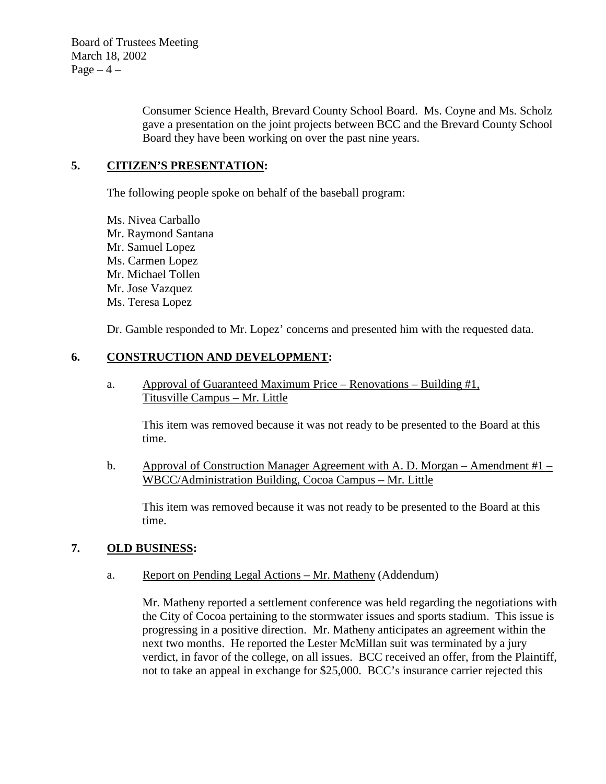Board of Trustees Meeting March 18, 2002 Page  $-4$  –

> Consumer Science Health, Brevard County School Board. Ms. Coyne and Ms. Scholz gave a presentation on the joint projects between BCC and the Brevard County School Board they have been working on over the past nine years.

## **5. CITIZEN'S PRESENTATION:**

The following people spoke on behalf of the baseball program:

 Ms. Nivea Carballo Mr. Raymond Santana Mr. Samuel Lopez Ms. Carmen Lopez Mr. Michael Tollen Mr. Jose Vazquez Ms. Teresa Lopez

Dr. Gamble responded to Mr. Lopez' concerns and presented him with the requested data.

## **6. CONSTRUCTION AND DEVELOPMENT:**

a. Approval of Guaranteed Maximum Price – Renovations – Building #1, Titusville Campus – Mr. Little

This item was removed because it was not ready to be presented to the Board at this time.

b. Approval of Construction Manager Agreement with A. D. Morgan – Amendment  $#1 -$ WBCC/Administration Building, Cocoa Campus – Mr. Little

This item was removed because it was not ready to be presented to the Board at this time.

#### **7. OLD BUSINESS:**

a. Report on Pending Legal Actions – Mr. Matheny (Addendum)

Mr. Matheny reported a settlement conference was held regarding the negotiations with the City of Cocoa pertaining to the stormwater issues and sports stadium. This issue is progressing in a positive direction. Mr. Matheny anticipates an agreement within the next two months. He reported the Lester McMillan suit was terminated by a jury verdict, in favor of the college, on all issues. BCC received an offer, from the Plaintiff, not to take an appeal in exchange for \$25,000. BCC's insurance carrier rejected this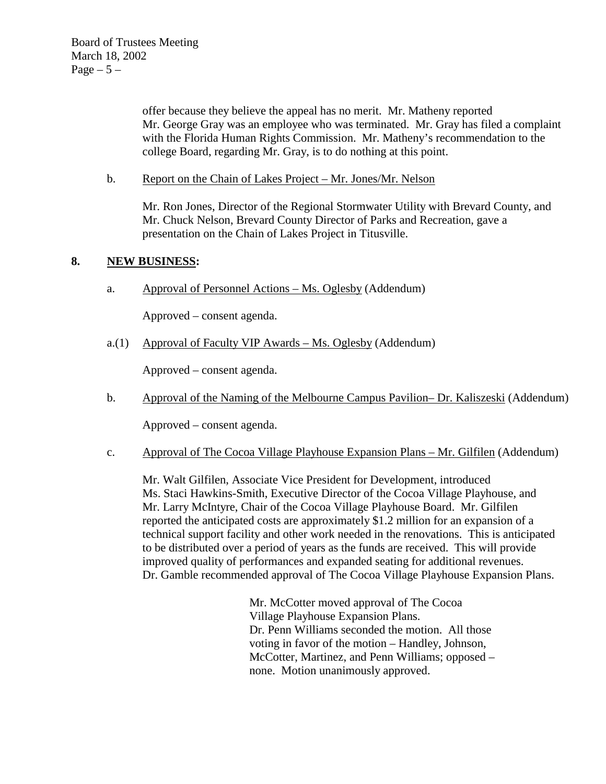offer because they believe the appeal has no merit. Mr. Matheny reported Mr. George Gray was an employee who was terminated. Mr. Gray has filed a complaint with the Florida Human Rights Commission. Mr. Matheny's recommendation to the college Board, regarding Mr. Gray, is to do nothing at this point.

b. Report on the Chain of Lakes Project – Mr. Jones/Mr. Nelson

Mr. Ron Jones, Director of the Regional Stormwater Utility with Brevard County, and Mr. Chuck Nelson, Brevard County Director of Parks and Recreation, gave a presentation on the Chain of Lakes Project in Titusville.

# **8. NEW BUSINESS:**

a. Approval of Personnel Actions – Ms. Oglesby (Addendum)

Approved – consent agenda.

a.(1) Approval of Faculty VIP Awards – Ms. Oglesby (Addendum)

Approved – consent agenda.

b. Approval of the Naming of the Melbourne Campus Pavilion– Dr. Kaliszeski (Addendum)

Approved – consent agenda.

c. Approval of The Cocoa Village Playhouse Expansion Plans – Mr. Gilfilen (Addendum)

 Mr. Walt Gilfilen, Associate Vice President for Development, introduced Ms. Staci Hawkins-Smith, Executive Director of the Cocoa Village Playhouse, and Mr. Larry McIntyre, Chair of the Cocoa Village Playhouse Board. Mr. Gilfilen reported the anticipated costs are approximately \$1.2 million for an expansion of a technical support facility and other work needed in the renovations. This is anticipated to be distributed over a period of years as the funds are received. This will provide improved quality of performances and expanded seating for additional revenues. Dr. Gamble recommended approval of The Cocoa Village Playhouse Expansion Plans.

> Mr. McCotter moved approval of The Cocoa Village Playhouse Expansion Plans. Dr. Penn Williams seconded the motion. All those voting in favor of the motion – Handley, Johnson, McCotter, Martinez, and Penn Williams; opposed – none. Motion unanimously approved.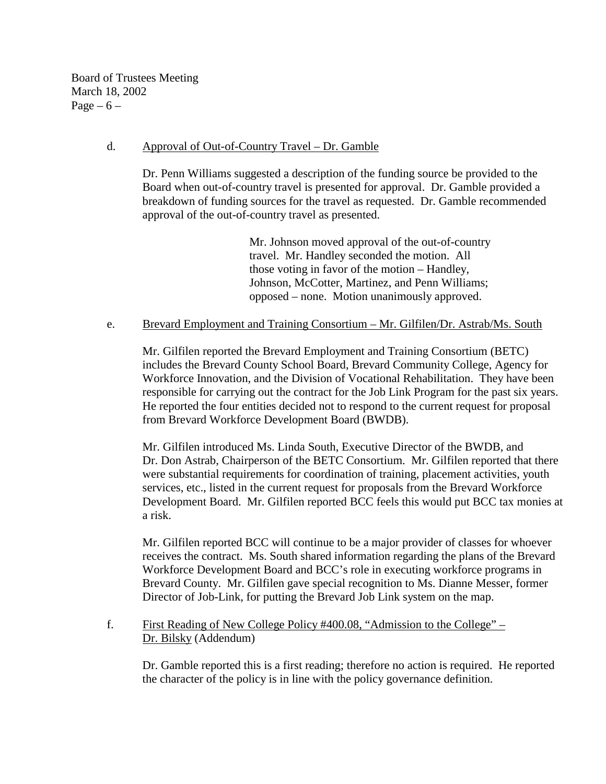Board of Trustees Meeting March 18, 2002 Page  $-6$  –

### d. Approval of Out-of-Country Travel – Dr. Gamble

 Dr. Penn Williams suggested a description of the funding source be provided to the Board when out-of-country travel is presented for approval. Dr. Gamble provided a breakdown of funding sources for the travel as requested. Dr. Gamble recommended approval of the out-of-country travel as presented.

> Mr. Johnson moved approval of the out-of-country travel. Mr. Handley seconded the motion. All those voting in favor of the motion – Handley, Johnson, McCotter, Martinez, and Penn Williams; opposed – none. Motion unanimously approved.

#### e. Brevard Employment and Training Consortium – Mr. Gilfilen/Dr. Astrab/Ms. South

Mr. Gilfilen reported the Brevard Employment and Training Consortium (BETC) includes the Brevard County School Board, Brevard Community College, Agency for Workforce Innovation, and the Division of Vocational Rehabilitation. They have been responsible for carrying out the contract for the Job Link Program for the past six years. He reported the four entities decided not to respond to the current request for proposal from Brevard Workforce Development Board (BWDB).

Mr. Gilfilen introduced Ms. Linda South, Executive Director of the BWDB, and Dr. Don Astrab, Chairperson of the BETC Consortium. Mr. Gilfilen reported that there were substantial requirements for coordination of training, placement activities, youth services, etc., listed in the current request for proposals from the Brevard Workforce Development Board. Mr. Gilfilen reported BCC feels this would put BCC tax monies at a risk.

Mr. Gilfilen reported BCC will continue to be a major provider of classes for whoever receives the contract. Ms. South shared information regarding the plans of the Brevard Workforce Development Board and BCC's role in executing workforce programs in Brevard County. Mr. Gilfilen gave special recognition to Ms. Dianne Messer, former Director of Job-Link, for putting the Brevard Job Link system on the map.

## f. First Reading of New College Policy #400.08, "Admission to the College" – Dr. Bilsky (Addendum)

Dr. Gamble reported this is a first reading; therefore no action is required. He reported the character of the policy is in line with the policy governance definition.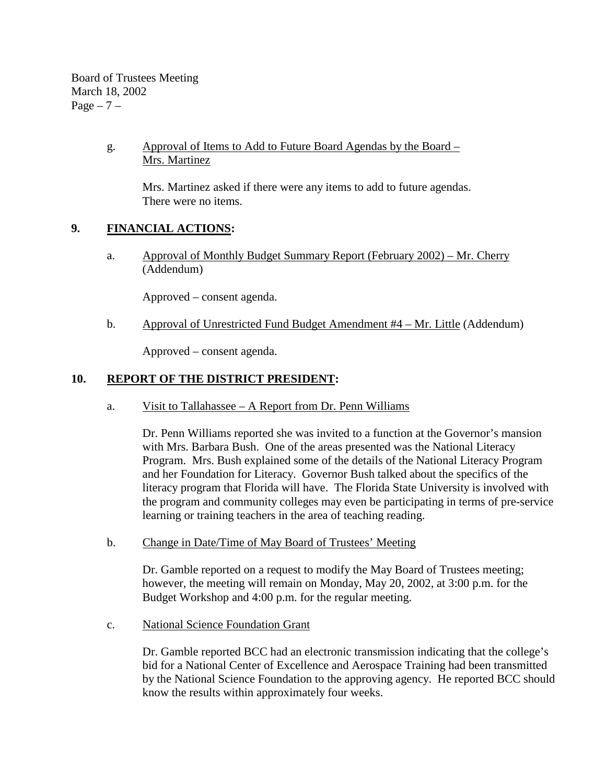Board of Trustees Meeting March 18, 2002  $Page - 7 -$ 

## g. Approval of Items to Add to Future Board Agendas by the Board – Mrs. Martinez

Mrs. Martinez asked if there were any items to add to future agendas. There were no items.

# **9. FINANCIAL ACTIONS:**

a. Approval of Monthly Budget Summary Report (February 2002) – Mr. Cherry (Addendum)

Approved – consent agenda.

b. Approval of Unrestricted Fund Budget Amendment #4 – Mr. Little (Addendum)

Approved – consent agenda.

## **10. REPORT OF THE DISTRICT PRESIDENT:**

a. Visit to Tallahassee – A Report from Dr. Penn Williams

Dr. Penn Williams reported she was invited to a function at the Governor's mansion with Mrs. Barbara Bush. One of the areas presented was the National Literacy Program. Mrs. Bush explained some of the details of the National Literacy Program and her Foundation for Literacy. Governor Bush talked about the specifics of the literacy program that Florida will have. The Florida State University is involved with the program and community colleges may even be participating in terms of pre-service learning or training teachers in the area of teaching reading.

b. Change in Date/Time of May Board of Trustees' Meeting

Dr. Gamble reported on a request to modify the May Board of Trustees meeting; however, the meeting will remain on Monday, May 20, 2002, at 3:00 p.m. for the Budget Workshop and 4:00 p.m. for the regular meeting.

c. National Science Foundation Grant

Dr. Gamble reported BCC had an electronic transmission indicating that the college's bid for a National Center of Excellence and Aerospace Training had been transmitted by the National Science Foundation to the approving agency. He reported BCC should know the results within approximately four weeks.